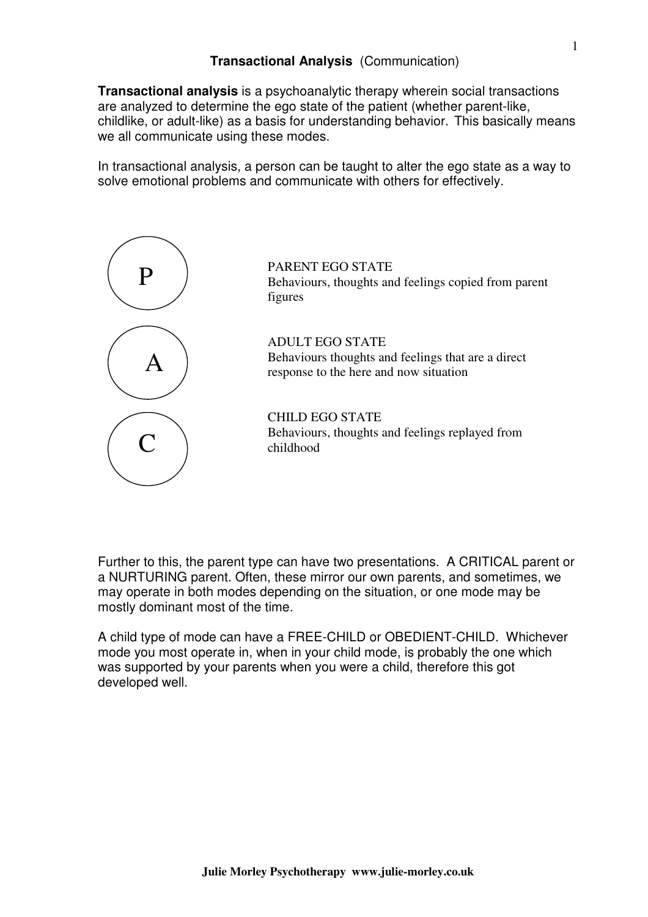**Transactional analysis** is a psychoanalytic therapy wherein social transactions are analyzed to determine the ego state of the patient (whether parent-like, childlike, or adult-like) as a basis for understanding behavior. This basically means we all communicate using these modes.

In transactional analysis, a person can be taught to alter the ego state as a way to solve emotional problems and communicate with others for effectively.



Further to this, the parent type can have two presentations. A CRITICAL parent or a NURTURING parent. Often, these mirror our own parents, and sometimes, we may operate in both modes depending on the situation, or one mode may be mostly dominant most of the time.

A child type of mode can have a FREE-CHILD or OBEDIENT-CHILD. Whichever mode you most operate in, when in your child mode, is probably the one which was supported by your parents when you were a child, therefore this got developed well.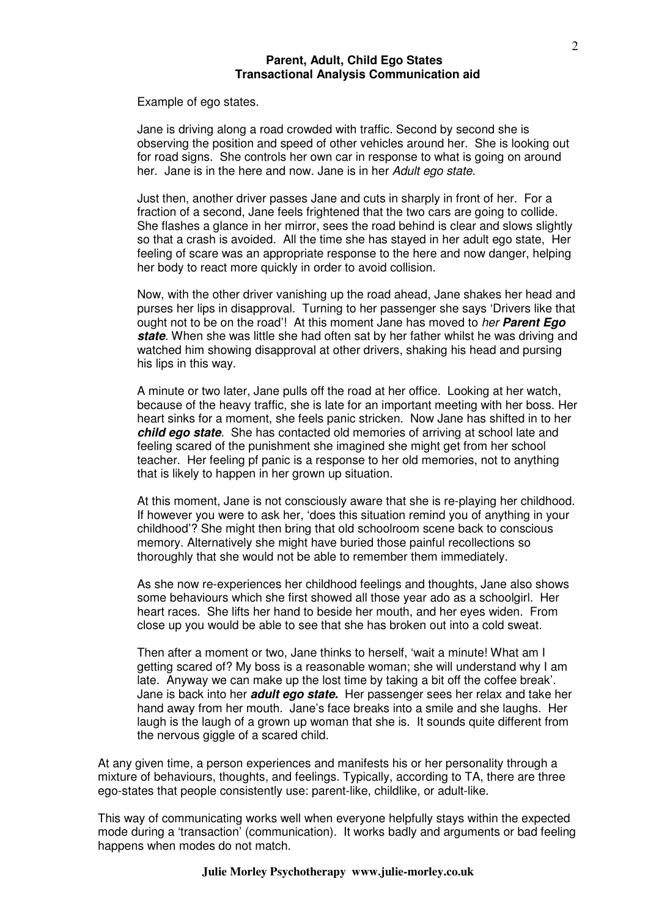### **Parent, Adult, Child Ego States Transactional Analysis Communication aid**

Example of ego states.

Jane is driving along a road crowded with traffic. Second by second she is observing the position and speed of other vehicles around her. She is looking out for road signs. She controls her own car in response to what is going on around her. Jane is in the here and now. Jane is in her Adult ego state.

Just then, another driver passes Jane and cuts in sharply in front of her. For a fraction of a second, Jane feels frightened that the two cars are going to collide. She flashes a glance in her mirror, sees the road behind is clear and slows slightly so that a crash is avoided. All the time she has stayed in her adult ego state, Her feeling of scare was an appropriate response to the here and now danger, helping her body to react more quickly in order to avoid collision.

Now, with the other driver vanishing up the road ahead, Jane shakes her head and purses her lips in disapproval. Turning to her passenger she says 'Drivers like that ought not to be on the road'! At this moment Jane has moved to her **Parent Ego state**. When she was little she had often sat by her father whilst he was driving and watched him showing disapproval at other drivers, shaking his head and pursing his lips in this way.

A minute or two later, Jane pulls off the road at her office. Looking at her watch, because of the heavy traffic, she is late for an important meeting with her boss. Her heart sinks for a moment, she feels panic stricken. Now Jane has shifted in to her **child ego state**. She has contacted old memories of arriving at school late and feeling scared of the punishment she imagined she might get from her school teacher. Her feeling pf panic is a response to her old memories, not to anything that is likely to happen in her grown up situation.

At this moment, Jane is not consciously aware that she is re-playing her childhood. If however you were to ask her, 'does this situation remind you of anything in your childhood'? She might then bring that old schoolroom scene back to conscious memory. Alternatively she might have buried those painful recollections so thoroughly that she would not be able to remember them immediately.

As she now re-experiences her childhood feelings and thoughts, Jane also shows some behaviours which she first showed all those year ado as a schoolgirl. Her heart races. She lifts her hand to beside her mouth, and her eyes widen. From close up you would be able to see that she has broken out into a cold sweat.

Then after a moment or two, Jane thinks to herself, 'wait a minute! What am I getting scared of? My boss is a reasonable woman; she will understand why I am late. Anyway we can make up the lost time by taking a bit off the coffee break'. Jane is back into her **adult ego state.** Her passenger sees her relax and take her hand away from her mouth. Jane's face breaks into a smile and she laughs. Her laugh is the laugh of a grown up woman that she is. It sounds quite different from the nervous giggle of a scared child.

At any given time, a person experiences and manifests his or her personality through a mixture of behaviours, thoughts, and feelings. Typically, according to TA, there are three ego-states that people consistently use: parent-like, childlike, or adult-like.

This way of communicating works well when everyone helpfully stays within the expected mode during a 'transaction' (communication). It works badly and arguments or bad feeling happens when modes do not match.

#### **Julie Morley Psychotherapy www.julie-morley.co.uk**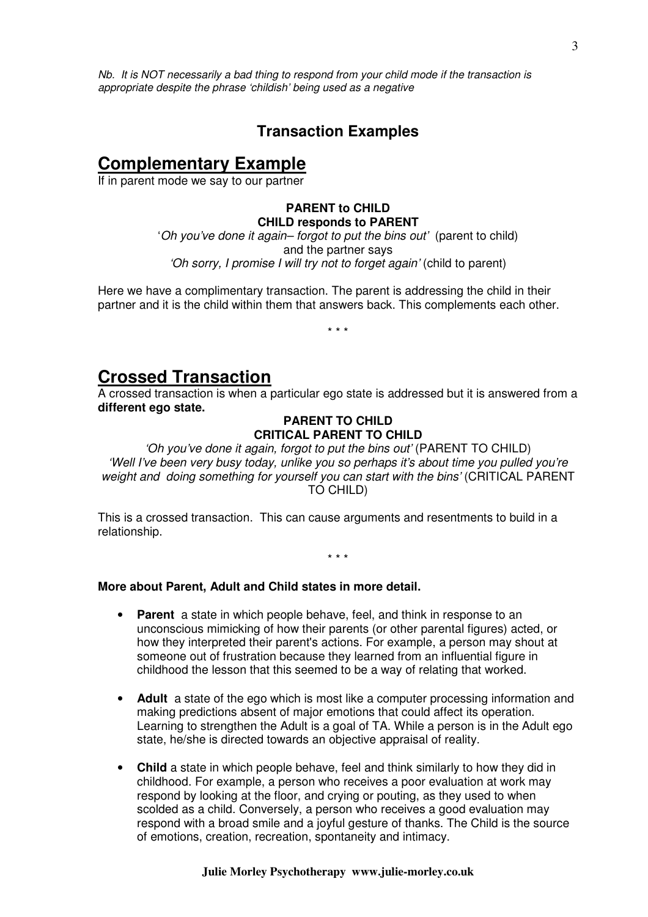Nb. It is NOT necessarily a bad thing to respond from your child mode if the transaction is appropriate despite the phrase 'childish' being used as a negative

# **Transaction Examples**

# **Complementary Example**

If in parent mode we say to our partner

# **PARENT to CHILD CHILD responds to PARENT**

'Oh you've done it again– forgot to put the bins out' (parent to child) and the partner says 'Oh sorry, I promise I will try not to forget again' (child to parent)

Here we have a complimentary transaction. The parent is addressing the child in their partner and it is the child within them that answers back. This complements each other.

\* \* \*

# **Crossed Transaction**

A crossed transaction is when a particular ego state is addressed but it is answered from a **different ego state.**

### **PARENT TO CHILD CRITICAL PARENT TO CHILD**

'Oh you've done it again, forgot to put the bins out' (PARENT TO CHILD) 'Well I've been very busy today, unlike you so perhaps it's about time you pulled you're weight and doing something for yourself you can start with the bins' (CRITICAL PARENT TO CHILD)

This is a crossed transaction. This can cause arguments and resentments to build in a relationship.

\* \* \*

**More about Parent, Adult and Child states in more detail.** 

- **Parent** a state in which people behave, feel, and think in response to an unconscious mimicking of how their parents (or other parental figures) acted, or how they interpreted their parent's actions. For example, a person may shout at someone out of frustration because they learned from an influential figure in childhood the lesson that this seemed to be a way of relating that worked.
- **Adult** a state of the ego which is most like a computer processing information and making predictions absent of major emotions that could affect its operation. Learning to strengthen the Adult is a goal of TA. While a person is in the Adult ego state, he/she is directed towards an objective appraisal of reality.
- **Child** a state in which people behave, feel and think similarly to how they did in childhood. For example, a person who receives a poor evaluation at work may respond by looking at the floor, and crying or pouting, as they used to when scolded as a child. Conversely, a person who receives a good evaluation may respond with a broad smile and a joyful gesture of thanks. The Child is the source of emotions, creation, recreation, spontaneity and intimacy.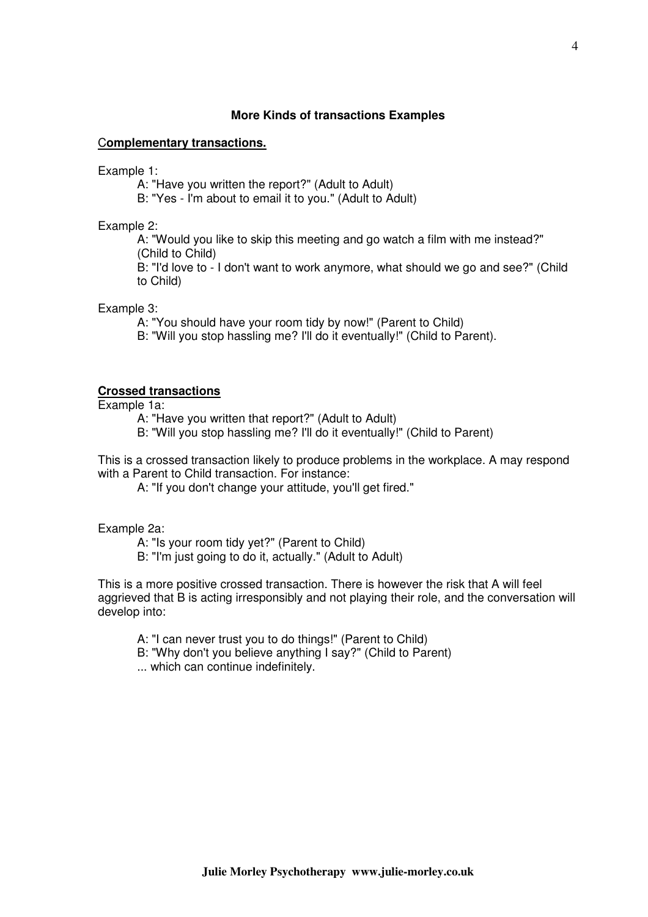### **More Kinds of transactions Examples**

#### C**omplementary transactions.**

Example 1:

- A: "Have you written the report?" (Adult to Adult)
- B: "Yes I'm about to email it to you." (Adult to Adult)

#### Example 2:

A: "Would you like to skip this meeting and go watch a film with me instead?" (Child to Child)

B: "I'd love to - I don't want to work anymore, what should we go and see?" (Child to Child)

Example 3:

- A: "You should have your room tidy by now!" (Parent to Child)
- B: "Will you stop hassling me? I'll do it eventually!" (Child to Parent).

## **Crossed transactions**

Example 1a:

- A: "Have you written that report?" (Adult to Adult)
- B: "Will you stop hassling me? I'll do it eventually!" (Child to Parent)

This is a crossed transaction likely to produce problems in the workplace. A may respond with a Parent to Child transaction. For instance:

A: "If you don't change your attitude, you'll get fired."

Example 2a:

- A: "Is your room tidy yet?" (Parent to Child)
- B: "I'm just going to do it, actually." (Adult to Adult)

This is a more positive crossed transaction. There is however the risk that A will feel aggrieved that B is acting irresponsibly and not playing their role, and the conversation will develop into:

- A: "I can never trust you to do things!" (Parent to Child)
- B: "Why don't you believe anything I say?" (Child to Parent)
- ... which can continue indefinitely.